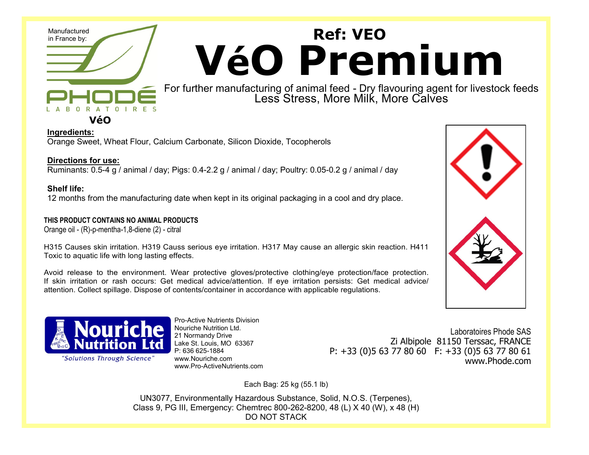

# **Ref: VEO VéO Premium**

For further manufacturing of animal feed - Dry flavouring agent for livestock feeds Less Stress, More Milk, More Calves

**Ingredients:**

Orange Sweet, Wheat Flour, Calcium Carbonate, Silicon Dioxide, Tocopherols

#### **Directions for use:**

Ruminants: 0.5-4 g / animal / day; Pigs: 0.4-2.2 g / animal / day; Poultry: 0.05-0.2 g / animal / day

**Shelf life:**  12 months from the manufacturing date when kept in its original packaging in a cool and dry place.

#### **THIS PRODUCT CONTAINS NO ANIMAL PRODUCTS**

Orange oil - (R)-p-mentha-1,8-diene (2) - citral

H315 Causes skin irritation. H319 Causs serious eye irritation. H317 May cause an allergic skin reaction. H411 Toxic to aquatic life with long lasting effects.

Avoid release to the environment. Wear protective gloves/protective clothing/eye protection/face protection. If skin irritation or rash occurs: Get medical advice/attention. If eye irritation persists: Get medical advice/ attention. Collect spillage. Dispose of contents/container in accordance with applicable regulations.



"Solutions Through Science"

Pro-Active Nutrients Division Nouriche Nutrition Ltd. 21 Normandy Drive Lake St. Louis, MO 63367 P: 636 625-1884 www.Nouriche.com www.Pro-ActiveNutrients.com

Laboratoires Phode SAS Zi Albipole 81150 Terssac, FRANCE P: +33 (0)5 63 77 80 60 F: +33 (0)5 63 77 80 61 www.Phode.com

Each Bag: 25 kg (55.1 lb)

UN3077, Environmentally Hazardous Substance, Solid, N.O.S. (Terpenes), Class 9, PG III, Emergency: Chemtrec 800-262-8200, 48 (L) X 40 (W), x 48 (H) DO NOT STACK

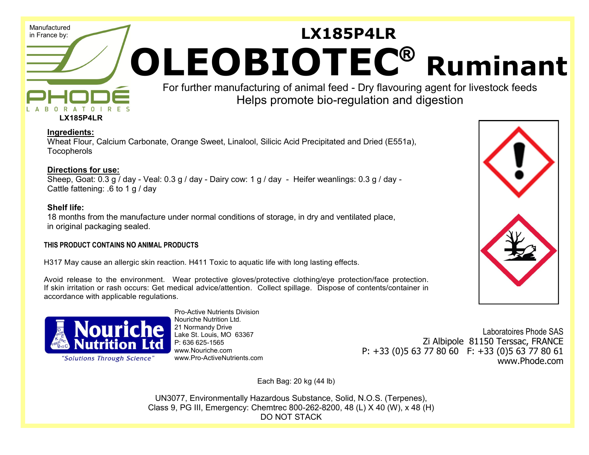

#### **Ingredients:**

Wheat Flour, Calcium Carbonate, Orange Sweet, Linalool, Silicic Acid Precipitated and Dried (E551a), **Tocopherols** 

#### **Directions for use:**

Sheep, Goat: 0.3 g / day - Veal: 0.3 g / day - Dairy cow: 1 g / day - Heifer weanlings: 0.3 g / day -Cattle fattening: .6 to 1 g / day

#### **Shelf life:**

18 months from the manufacture under normal conditions of storage, in dry and ventilated place, in original packaging sealed.

#### **THIS PRODUCT CONTAINS NO ANIMAL PRODUCTS**

H317 May cause an allergic skin reaction. H411 Toxic to aquatic life with long lasting effects.

Avoid release to the environment. Wear protective gloves/protective clothing/eye protection/face protection. If skin irritation or rash occurs: Get medical advice/attention. Collect spillage. Dispose of contents/container in accordance with applicable regulations.



Pro-Active Nutrients Division Nouriche Nutrition Ltd. 21 Normandy Drive Lake St. Louis, MO 63367 P: 636 625-1565 www.Nouriche.com www.Pro-ActiveNutrients.com

Laboratoires Phode SAS Zi Albipole 81150 Terssac, FRANCE P: +33 (0)5 63 77 80 60 F: +33 (0)5 63 77 80 61 www.Phode.com

Each Bag: 20 kg (44 lb)

UN3077, Environmentally Hazardous Substance, Solid, N.O.S. (Terpenes), Class 9, PG III, Emergency: Chemtrec 800-262-8200, 48 (L) X 40 (W), x 48 (H) DO NOT STACK